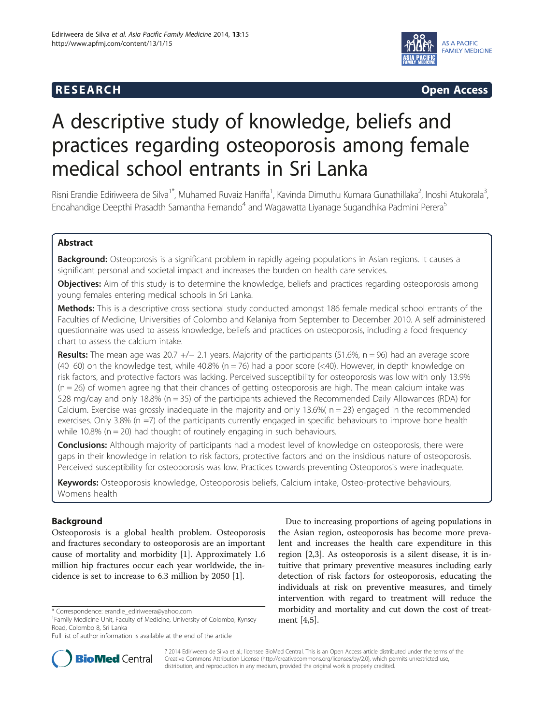# **RESEARCH CHINESEARCH CHINESEARCH CHINESE**



# A descriptive study of knowledge, beliefs and practices regarding osteoporosis among female medical school entrants in Sri Lanka

Risni Erandie Ediriweera de Silva<sup>1\*</sup>, Muhamed Ruvaiz Haniffa<sup>1</sup>, Kavinda Dimuthu Kumara Gunathillaka<sup>2</sup>, Inoshi Atukorala<sup>3</sup> , Endahandige Deepthi Prasadth Samantha Fernando<sup>4</sup> and Wagawatta Liyanage Sugandhika Padmini Perera<sup>5</sup>

# Abstract

Background: Osteoporosis is a significant problem in rapidly ageing populations in Asian regions. It causes a significant personal and societal impact and increases the burden on health care services.

**Objectives:** Aim of this study is to determine the knowledge, beliefs and practices regarding osteoporosis among young females entering medical schools in Sri Lanka.

Methods: This is a descriptive cross sectional study conducted amongst 186 female medical school entrants of the Faculties of Medicine, Universities of Colombo and Kelaniya from September to December 2010. A self administered questionnaire was used to assess knowledge, beliefs and practices on osteoporosis, including a food frequency chart to assess the calcium intake.

Results: The mean age was 20.7 +/− 2.1 years. Majority of the participants (51.6%, n = 96) had an average score (40 60) on the knowledge test, while 40.8% ( $n = 76$ ) had a poor score (<40). However, in depth knowledge on risk factors, and protective factors was lacking. Perceived susceptibility for osteoporosis was low with only 13.9%  $(n = 26)$  of women agreeing that their chances of getting osteoporosis are high. The mean calcium intake was 528 mg/day and only 18.8% (n = 35) of the participants achieved the Recommended Daily Allowances (RDA) for Calcium. Exercise was grossly inadequate in the majority and only 13.6%  $(n = 23)$  engaged in the recommended exercises. Only 3.8% ( $n = 7$ ) of the participants currently engaged in specific behaviours to improve bone health while 10.8% ( $n = 20$ ) had thought of routinely engaging in such behaviours.

**Conclusions:** Although majority of participants had a modest level of knowledge on osteoporosis, there were gaps in their knowledge in relation to risk factors, protective factors and on the insidious nature of osteoporosis. Perceived susceptibility for osteoporosis was low. Practices towards preventing Osteoporosis were inadequate.

Keywords: Osteoporosis knowledge, Osteoporosis beliefs, Calcium intake, Osteo-protective behaviours, Womens health

# Background

Osteoporosis is a global health problem. Osteoporosis and fractures secondary to osteoporosis are an important cause of mortality and morbidity [\[1](#page-5-0)]. Approximately 1.6 million hip fractures occur each year worldwide, the incidence is set to increase to 6.3 million by 2050 [\[1](#page-5-0)].

Due to increasing proportions of ageing populations in the Asian region, osteoporosis has become more prevalent and increases the health care expenditure in this region [[2,3\]](#page-5-0). As osteoporosis is a silent disease, it is intuitive that primary preventive measures including early detection of risk factors for osteoporosis, educating the individuals at risk on preventive measures, and timely intervention with regard to treatment will reduce the morbidity and mortality and cut down the cost of treatment [[4,5\]](#page-5-0).



? 2014 Ediriweera de Silva et al.; licensee BioMed Central. This is an Open Access article distributed under the terms of the Creative Commons Attribution License (<http://creativecommons.org/licenses/by/2.0>), which permits unrestricted use, distribution, and reproduction in any medium, provided the original work is properly credited.

<sup>\*</sup> Correspondence: [erandie\\_ediriweera@yahoo.com](mailto:erandie_ediriweera@yahoo.com) <sup>1</sup>

<sup>&</sup>lt;sup>1</sup>Family Medicine Unit, Faculty of Medicine, University of Colombo, Kynsey Road, Colombo 8, Sri Lanka

Full list of author information is available at the end of the article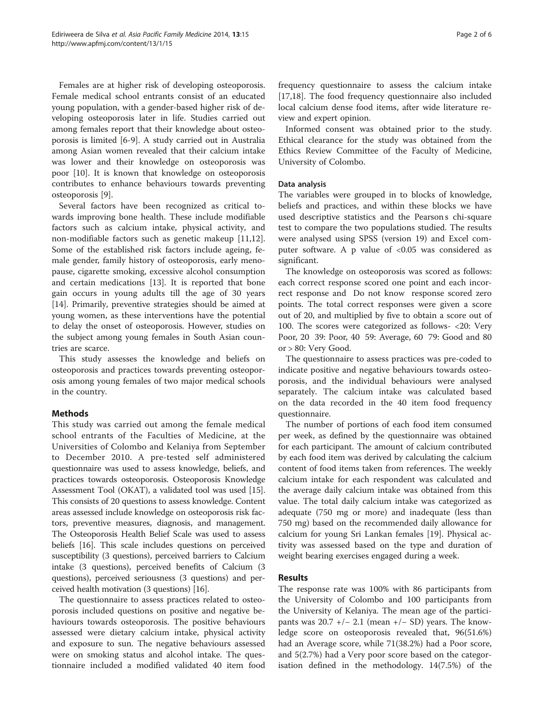Females are at higher risk of developing osteoporosis. Female medical school entrants consist of an educated young population, with a gender-based higher risk of developing osteoporosis later in life. Studies carried out among females report that their knowledge about osteoporosis is limited [[6-9](#page-5-0)]. A study carried out in Australia among Asian women revealed that their calcium intake was lower and their knowledge on osteoporosis was poor [\[10](#page-5-0)]. It is known that knowledge on osteoporosis contributes to enhance behaviours towards preventing osteoporosis [[9\]](#page-5-0).

Several factors have been recognized as critical towards improving bone health. These include modifiable factors such as calcium intake, physical activity, and non-modifiable factors such as genetic makeup [\[11,12](#page-5-0)]. Some of the established risk factors include ageing, female gender, family history of osteoporosis, early menopause, cigarette smoking, excessive alcohol consumption and certain medications [[13\]](#page-5-0). It is reported that bone gain occurs in young adults till the age of 30 years [[14\]](#page-5-0). Primarily, preventive strategies should be aimed at young women, as these interventions have the potential to delay the onset of osteoporosis. However, studies on the subject among young females in South Asian countries are scarce.

This study assesses the knowledge and beliefs on osteoporosis and practices towards preventing osteoporosis among young females of two major medical schools in the country.

# **Methods**

This study was carried out among the female medical school entrants of the Faculties of Medicine, at the Universities of Colombo and Kelaniya from September to December 2010. A pre-tested self administered questionnaire was used to assess knowledge, beliefs, and practices towards osteoporosis. Osteoporosis Knowledge Assessment Tool (OKAT), a validated tool was used [[15](#page-5-0)]. This consists of 20 questions to assess knowledge. Content areas assessed include knowledge on osteoporosis risk factors, preventive measures, diagnosis, and management. The Osteoporosis Health Belief Scale was used to assess beliefs [[16](#page-5-0)]. This scale includes questions on perceived susceptibility (3 questions), perceived barriers to Calcium intake (3 questions), perceived benefits of Calcium (3 questions), perceived seriousness (3 questions) and perceived health motivation (3 questions) [\[16](#page-5-0)].

The questionnaire to assess practices related to osteoporosis included questions on positive and negative behaviours towards osteoporosis. The positive behaviours assessed were dietary calcium intake, physical activity and exposure to sun. The negative behaviours assessed were on smoking status and alcohol intake. The questionnaire included a modified validated 40 item food

frequency questionnaire to assess the calcium intake [[17,18\]](#page-5-0). The food frequency questionnaire also included local calcium dense food items, after wide literature review and expert opinion.

Informed consent was obtained prior to the study. Ethical clearance for the study was obtained from the Ethics Review Committee of the Faculty of Medicine, University of Colombo.

# Data analysis

The variables were grouped in to blocks of knowledge, beliefs and practices, and within these blocks we have used descriptive statistics and the Pearsons chi-square test to compare the two populations studied. The results were analysed using SPSS (version 19) and Excel computer software. A p value of <0.05 was considered as significant.

The knowledge on osteoporosis was scored as follows: each correct response scored one point and each incorrect response and Do not know response scored zero points. The total correct responses were given a score out of 20, and multiplied by five to obtain a score out of 100. The scores were categorized as follows- <20: Very Poor, 20 39: Poor, 40 59: Average, 60 79: Good and 80 or > 80: Very Good.

The questionnaire to assess practices was pre-coded to indicate positive and negative behaviours towards osteoporosis, and the individual behaviours were analysed separately. The calcium intake was calculated based on the data recorded in the 40 item food frequency questionnaire.

The number of portions of each food item consumed per week, as defined by the questionnaire was obtained for each participant. The amount of calcium contributed by each food item was derived by calculating the calcium content of food items taken from references. The weekly calcium intake for each respondent was calculated and the average daily calcium intake was obtained from this value. The total daily calcium intake was categorized as adequate (750 mg or more) and inadequate (less than 750 mg) based on the recommended daily allowance for calcium for young Sri Lankan females [[19\]](#page-5-0). Physical activity was assessed based on the type and duration of weight bearing exercises engaged during a week.

# Results

The response rate was 100% with 86 participants from the University of Colombo and 100 participants from the University of Kelaniya. The mean age of the participants was  $20.7$  +/- 2.1 (mean +/- SD) years. The knowledge score on osteoporosis revealed that, 96(51.6%) had an Average score, while 71(38.2%) had a Poor score, and 5(2.7%) had a Very poor score based on the categorisation defined in the methodology. 14(7.5%) of the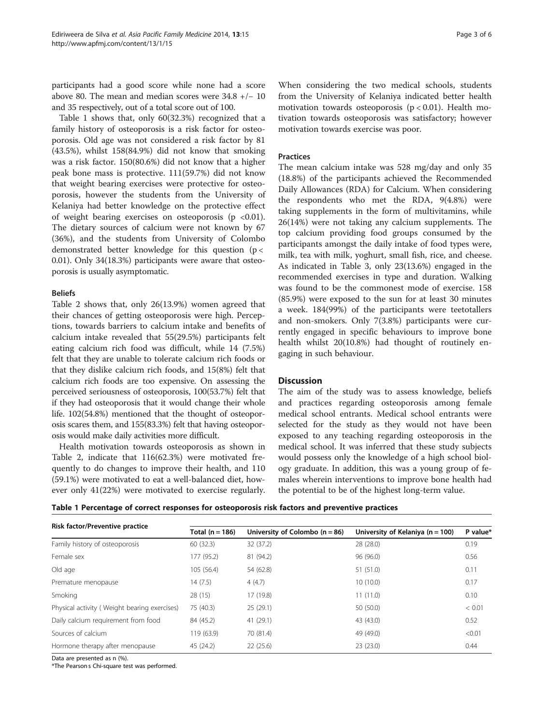participants had a good score while none had a score above 80. The mean and median scores were 34.8 +/− 10 and 35 respectively, out of a total score out of 100.

Table 1 shows that, only 60(32.3%) recognized that a family history of osteoporosis is a risk factor for osteoporosis. Old age was not considered a risk factor by 81 (43.5%), whilst 158(84.9%) did not know that smoking was a risk factor. 150(80.6%) did not know that a higher peak bone mass is protective. 111(59.7%) did not know that weight bearing exercises were protective for osteoporosis, however the students from the University of Kelaniya had better knowledge on the protective effect of weight bearing exercises on osteoporosis ( $p \leq 0.01$ ). The dietary sources of calcium were not known by 67 (36%), and the students from University of Colombo demonstrated better knowledge for this question (p < 0.01). Only 34(18.3%) participants were aware that osteoporosis is usually asymptomatic.

# Beliefs

Table [2](#page-3-0) shows that, only 26(13.9%) women agreed that their chances of getting osteoporosis were high. Perceptions, towards barriers to calcium intake and benefits of calcium intake revealed that 55(29.5%) participants felt eating calcium rich food was difficult, while 14 (7.5%) felt that they are unable to tolerate calcium rich foods or that they dislike calcium rich foods, and 15(8%) felt that calcium rich foods are too expensive. On assessing the perceived seriousness of osteoporosis, 100(53.7%) felt that if they had osteoporosis that it would change their whole life. 102(54.8%) mentioned that the thought of osteoporosis scares them, and 155(83.3%) felt that having osteoporosis would make daily activities more difficult.

Health motivation towards osteoporosis as shown in Table [2,](#page-3-0) indicate that 116(62.3%) were motivated frequently to do changes to improve their health, and 110 (59.1%) were motivated to eat a well-balanced diet, however only 41(22%) were motivated to exercise regularly.

When considering the two medical schools, students from the University of Kelaniya indicated better health motivation towards osteoporosis ( $p < 0.01$ ). Health motivation towards osteoporosis was satisfactory; however motivation towards exercise was poor.

## Practices

The mean calcium intake was 528 mg/day and only 35 (18.8%) of the participants achieved the Recommended Daily Allowances (RDA) for Calcium. When considering the respondents who met the RDA, 9(4.8%) were taking supplements in the form of multivitamins, while 26(14%) were not taking any calcium supplements. The top calcium providing food groups consumed by the participants amongst the daily intake of food types were, milk, tea with milk, yoghurt, small fish, rice, and cheese. As indicated in Table [3](#page-3-0), only 23(13.6%) engaged in the recommended exercises in type and duration. Walking was found to be the commonest mode of exercise. 158 (85.9%) were exposed to the sun for at least 30 minutes a week. 184(99%) of the participants were teetotallers and non-smokers. Only 7(3.8%) participants were currently engaged in specific behaviours to improve bone health whilst 20(10.8%) had thought of routinely engaging in such behaviour.

# **Discussion**

The aim of the study was to assess knowledge, beliefs and practices regarding osteoporosis among female medical school entrants. Medical school entrants were selected for the study as they would not have been exposed to any teaching regarding osteoporosis in the medical school. It was inferred that these study subjects would possess only the knowledge of a high school biology graduate. In addition, this was a young group of females wherein interventions to improve bone health had the potential to be of the highest long-term value.

| Table 1 Percentage of correct responses for osteoporosis risk factors and preventive practices |  |  |
|------------------------------------------------------------------------------------------------|--|--|
|------------------------------------------------------------------------------------------------|--|--|

| Risk factor/Preventive practice              |                   |                                  |                                      |          |
|----------------------------------------------|-------------------|----------------------------------|--------------------------------------|----------|
|                                              | Total $(n = 186)$ | University of Colombo $(n = 86)$ | University of Kelaniya ( $n = 100$ ) | P value* |
| Family history of osteoporosis               | 60(32.3)          | 32 (37.2)                        | 28 (28.0)                            | 0.19     |
| Female sex                                   | 177 (95.2)        | 81 (94.2)                        | 96 (96.0)                            | 0.56     |
| Old age                                      | 105 (56.4)        | 54 (62.8)                        | 51 (51.0)                            | 0.11     |
| Premature menopause                          | 14(7.5)           | 4(4.7)                           | 10(10.0)                             | 0.17     |
| Smoking                                      | 28(15)            | 17 (19.8)                        | 11(11.0)                             | 0.10     |
| Physical activity (Weight bearing exercises) | 75 (40.3)         | 25(29.1)                         | 50 (50.0)                            | < 0.01   |
| Daily calcium requirement from food          | 84 (45.2)         | 41(29.1)                         | 43 (43.0)                            | 0.52     |
| Sources of calcium                           | 119 (63.9)        | 70 (81.4)                        | 49 (49.0)                            | < 0.01   |
| Hormone therapy after menopause              | 45 (24.2)         | 22(25.6)                         | 23(23.0)                             | 0.44     |

Data are presented as n (%).

\*The Pearson s Chi-square test was performed.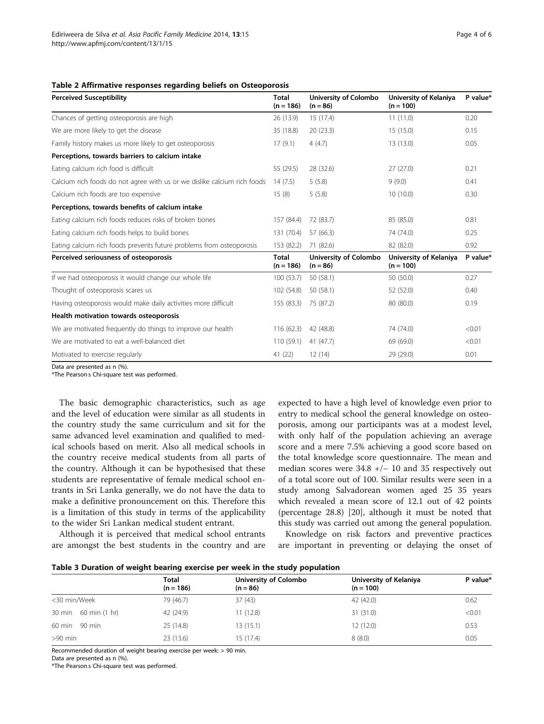<span id="page-3-0"></span>Table 2 Affirmative responses regarding beliefs on Osteoporosis

| <b>Perceived Susceptibility</b>                                          | <b>Total</b><br>$(n = 186)$ | <b>University of Colombo</b><br>$(n = 86)$ | University of Kelaniya<br>$(n = 100)$ | P value* |
|--------------------------------------------------------------------------|-----------------------------|--------------------------------------------|---------------------------------------|----------|
| Chances of getting osteoporosis are high                                 | 26 (13.9)                   | 15(17.4)                                   | 11(11.0)                              | 0.20     |
| We are more likely to get the disease                                    | 35 (18.8)                   | 20(23.3)                                   | 15(15.0)                              | 0.15     |
| Family history makes us more likely to get osteoporosis                  | 17(9.1)                     | 4(4.7)                                     | 13(13.0)                              | 0.05     |
| Perceptions, towards barriers to calcium intake                          |                             |                                            |                                       |          |
| Eating calcium rich food is difficult                                    | 55 (29.5)                   | 28 (32.6)                                  | 27(27.0)                              | 0.21     |
| Calcium rich foods do not agree with us or we dislike calcium rich foods | 14(7.5)                     | 5(5.8)                                     | 9(9.0)                                | 0.41     |
| Calcium rich foods are too expensive                                     | 15(8)                       | 5(5.8)                                     | 10(10.0)                              | 0.30     |
| Perceptions, towards benefits of calcium intake                          |                             |                                            |                                       |          |
| Eating calcium rich foods reduces risks of broken bones                  | 157 (84.4)                  | 72 (83.7)                                  | 85 (85.0)                             | 0.81     |
| Eating calcium rich foods helps to build bones                           | 131 (70.4)                  | 57 (66.3)                                  | 74 (74.0)                             | 0.25     |
| Eating calcium rich foods prevents future problems from osteoporosis     | 153 (82.2)                  | 71 (82.6)                                  | 82 (82.0)                             | 0.92     |
| Perceived seriousness of osteoporosis                                    | <b>Total</b><br>$(n = 186)$ | University of Colombo<br>$(n = 86)$        | University of Kelaniya<br>$(n = 100)$ | P value* |
| If we had osteoporosis it would change our whole life                    | 100(53.7)                   | 50 (58.1)                                  | 50 (50.0)                             | 0.27     |
| Thought of osteoporosis scares us                                        | 102 (54.8)                  | 50(58.1)                                   | 52 (52.0)                             | 0.40     |
| Having osteoporosis would make daily activities more difficult           | 155 (83.3)                  | 75 (87.2)                                  | 80 (80.0)                             | 0.19     |
| Health motivation towards osteoporosis                                   |                             |                                            |                                       |          |
| We are motivated frequently do things to improve our health              | 116(62.3)                   | 42 (48.8)                                  | 74 (74.0)                             | < 0.01   |
| We are motivated to eat a well-balanced diet                             | 110(59.1)                   | 41(47.7)                                   | 69 (69.0)                             | < 0.01   |
| Motivated to exercise regularly                                          | 41 (22)                     | 12(14)                                     | 29 (29.0)                             | 0.01     |

Data are presented as n (%).

\*The Pearson s Chi-square test was performed.

The basic demographic characteristics, such as age and the level of education were similar as all students in the country study the same curriculum and sit for the same advanced level examination and qualified to medical schools based on merit. Also all medical schools in the country receive medical students from all parts of the country. Although it can be hypothesised that these students are representative of female medical school entrants in Sri Lanka generally, we do not have the data to make a definitive pronouncement on this. Therefore this is a limitation of this study in terms of the applicability to the wider Sri Lankan medical student entrant.

Although it is perceived that medical school entrants are amongst the best students in the country and are

expected to have a high level of knowledge even prior to entry to medical school the general knowledge on osteoporosis, among our participants was at a modest level, with only half of the population achieving an average score and a mere 7.5% achieving a good score based on the total knowledge score questionnaire. The mean and median scores were 34.8 +/− 10 and 35 respectively out of a total score out of 100. Similar results were seen in a study among Salvadorean women aged 25 35 years which revealed a mean score of 12.1 out of 42 points (percentage 28.8) [[20](#page-5-0)], although it must be noted that this study was carried out among the general population.

Knowledge on risk factors and preventive practices are important in preventing or delaying the onset of

| Table 3 Duration of weight bearing exercise per week in the study population |  |  |  |  |
|------------------------------------------------------------------------------|--|--|--|--|
|                                                                              |  |  |  |  |

|                      | Total<br>$(n = 186)$ | University of Colombo<br>$(n = 86)$ | University of Kelaniya<br>$(n = 100)$ | P value* |
|----------------------|----------------------|-------------------------------------|---------------------------------------|----------|
| <30 min/Week         | 79 (46.7)            | 37(43)                              | 42 (42.0)                             | 0.62     |
| 30 min 60 min (1 hr) | 42 (24.9)            | 11(12.8)                            | 31 (31.0)                             | < 0.01   |
| 60 min 90 min        | 25(14.8)             | 13(15.1)                            | 12 (12.0)                             | 0.53     |
| $>90$ min            | 23(13.6)             | 15(17.4)                            | 8(8.0)                                | 0.05     |

Recommended duration of weight bearing exercise per week: > 90 min.

Data are presented as n (%).

\*The Pearson s Chi-square test was performed.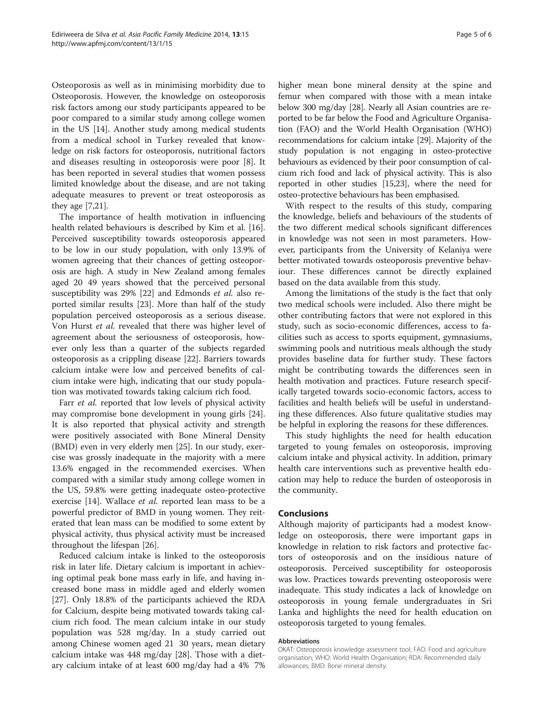Osteoporosis as well as in minimising morbidity due to Osteoporosis. However, the knowledge on osteoporosis risk factors among our study participants appeared to be poor compared to a similar study among college women in the US [\[14\]](#page-5-0). Another study among medical students from a medical school in Turkey revealed that knowledge on risk factors for osteoporosis, nutritional factors and diseases resulting in osteoporosis were poor [[8\]](#page-5-0). It has been reported in several studies that women possess limited knowledge about the disease, and are not taking adequate measures to prevent or treat osteoporosis as they age [[7](#page-5-0),[21](#page-5-0)].

The importance of health motivation in influencing health related behaviours is described by Kim et al. [\[16](#page-5-0)]. Perceived susceptibility towards osteoporosis appeared to be low in our study population, with only 13.9% of women agreeing that their chances of getting osteoporosis are high. A study in New Zealand among females aged 20 49 years showed that the perceived personal susceptibility was 29% [\[22\]](#page-5-0) and Edmonds et al. also reported similar results [\[23\]](#page-5-0). More than half of the study population perceived osteoporosis as a serious disease. Von Hurst et al. revealed that there was higher level of agreement about the seriousness of osteoporosis, however only less than a quarter of the subjects regarded osteoporosis as a crippling disease [[22](#page-5-0)]. Barriers towards calcium intake were low and perceived benefits of calcium intake were high, indicating that our study population was motivated towards taking calcium rich food.

Farr *et al.* reported that low levels of physical activity may compromise bone development in young girls [\[24](#page-5-0)]. It is also reported that physical activity and strength were positively associated with Bone Mineral Density (BMD) even in very elderly men [[25](#page-5-0)]. In our study, exercise was grossly inadequate in the majority with a mere 13.6% engaged in the recommended exercises. When compared with a similar study among college women in the US, 59.8% were getting inadequate osteo-protective exercise [\[14](#page-5-0)]. Wallace et al. reported lean mass to be a powerful predictor of BMD in young women. They reiterated that lean mass can be modified to some extent by physical activity, thus physical activity must be increased throughout the lifespan [[26\]](#page-5-0).

Reduced calcium intake is linked to the osteoporosis risk in later life. Dietary calcium is important in achieving optimal peak bone mass early in life, and having increased bone mass in middle aged and elderly women [[27\]](#page-5-0). Only 18.8% of the participants achieved the RDA for Calcium, despite being motivated towards taking calcium rich food. The mean calcium intake in our study population was 528 mg/day. In a study carried out among Chinese women aged 21 30 years, mean dietary calcium intake was 448 mg/day [[28\]](#page-5-0). Those with a dietary calcium intake of at least 600 mg/day had a 4% 7% higher mean bone mineral density at the spine and femur when compared with those with a mean intake below 300 mg/day [\[28](#page-5-0)]. Nearly all Asian countries are reported to be far below the Food and Agriculture Organisation (FAO) and the World Health Organisation (WHO) recommendations for calcium intake [[29](#page-5-0)]. Majority of the study population is not engaging in osteo-protective behaviours as evidenced by their poor consumption of calcium rich food and lack of physical activity. This is also reported in other studies [[15,23\]](#page-5-0), where the need for osteo-protective behaviours has been emphasised.

With respect to the results of this study, comparing the knowledge, beliefs and behaviours of the students of the two different medical schools significant differences in knowledge was not seen in most parameters. However, participants from the University of Kelaniya were better motivated towards osteoporosis preventive behaviour. These differences cannot be directly explained based on the data available from this study.

Among the limitations of the study is the fact that only two medical schools were included. Also there might be other contributing factors that were not explored in this study, such as socio-economic differences, access to facilities such as access to sports equipment, gymnasiums, swimming pools and nutritious meals although the study provides baseline data for further study. These factors might be contributing towards the differences seen in health motivation and practices. Future research specifically targeted towards socio-economic factors, access to facilities and health beliefs will be useful in understanding these differences. Also future qualitative studies may be helpful in exploring the reasons for these differences.

This study highlights the need for health education targeted to young females on osteoporosis, improving calcium intake and physical activity. In addition, primary health care interventions such as preventive health education may help to reduce the burden of osteoporosis in the community.

# Conclusions

Although majority of participants had a modest knowledge on osteoporosis, there were important gaps in knowledge in relation to risk factors and protective factors of osteoporosis and on the insidious nature of osteoporosis. Perceived susceptibility for osteoporosis was low. Practices towards preventing osteoporosis were inadequate. This study indicates a lack of knowledge on osteoporosis in young female undergraduates in Sri Lanka and highlights the need for health education on osteoporosis targeted to young females.

#### Abbreviations

OKAT: Osteoporosis knowledge assessment tool; FAO: Food and agriculture organisation; WHO: World Health Organisation; RDA: Recommended daily allowances; BMD: Bone mineral density.